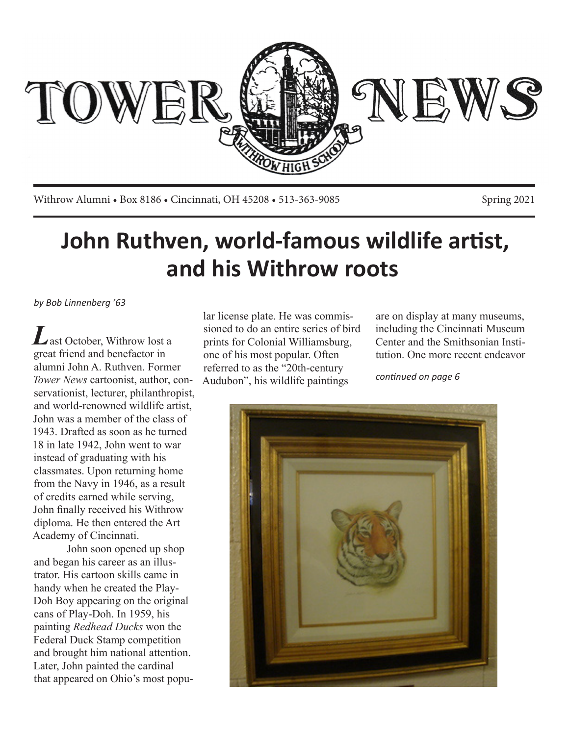

Withrow Alumni • Box 8186 • Cincinnati, OH 45208 • 513-363-9085 Spring 2021

# **John Ruthven, world-famous wildlife artist, and his Withrow roots**

*by Bob Linnenberg '63*

ast October, Withrow lost a great friend and benefactor in alumni John A. Ruthven. Former *Tower News* cartoonist, author, conservationist, lecturer, philanthropist, and world-renowned wildlife artist, John was a member of the class of 1943. Drafted as soon as he turned 18 in late 1942, John went to war instead of graduating with his classmates. Upon returning home from the Navy in 1946, as a result of credits earned while serving, John finally received his Withrow diploma. He then entered the Art Academy of Cincinnati.

John soon opened up shop and began his career as an illustrator. His cartoon skills came in handy when he created the Play-Doh Boy appearing on the original cans of Play-Doh. In 1959, his painting *Redhead Ducks* won the Federal Duck Stamp competition and brought him national attention. Later, John painted the cardinal that appeared on Ohio's most popu-

lar license plate. He was commissioned to do an entire series of bird prints for Colonial Williamsburg, one of his most popular. Often referred to as the "20th-century Audubon", his wildlife paintings

are on display at many museums, including the Cincinnati Museum Center and the Smithsonian Institution. One more recent endeavor

*continued on page 6*

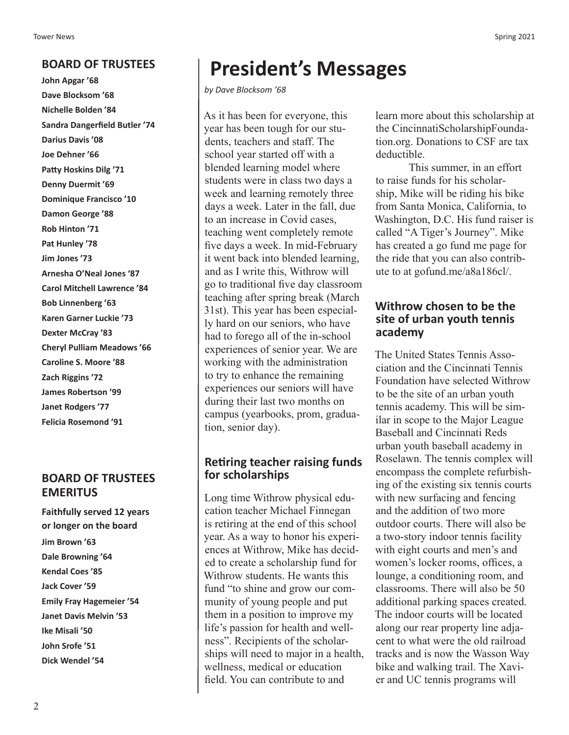# **BOARD OF TRUSTEES**

**John Apgar '68 Dave Blocksom '68 Nichelle Bolden '84 Sandra Dangerfield Butler '74 Darius Davis '08 Joe Dehner '66 Patty Hoskins Dilg '71 Denny Duermit '69 Dominique Francisco '10 Damon George '88 Rob Hinton '71 Pat Hunley '78 Jim Jones '73 Arnesha O'Neal Jones '87 Carol Mitchell Lawrence '84 Bob Linnenberg '63 Karen Garner Luckie '73 Dexter McCray '83 Cheryl Pulliam Meadows '66 Caroline S. Moore '88 Zach Riggins '72 James Robertson '99 Janet Rodgers '77 Felicia Rosemond '91**

# **BOARD OF TRUSTEES EMERITUS**

**Faithfully served 12 years or longer on the board Jim Brown '63 Dale Browning '64 Kendal Coes '85 Jack Cover '59 Emily Fray Hagemeier '54 Janet Davis Melvin '53 Ike Misali '50 John Srofe '51 Dick Wendel '54**

# **President's Messages**

*by Dave Blocksom '68*

As it has been for everyone, this year has been tough for our students, teachers and staff. The school year started off with a blended learning model where students were in class two days a week and learning remotely three days a week. Later in the fall, due to an increase in Covid cases, teaching went completely remote five days a week. In mid-February it went back into blended learning, and as I write this, Withrow will go to traditional five day classroom teaching after spring break (March 31st). This year has been especially hard on our seniors, who have had to forego all of the in-school experiences of senior year. We are working with the administration to try to enhance the remaining experiences our seniors will have during their last two months on campus (yearbooks, prom, graduation, senior day).

## **Retiring teacher raising funds for scholarships**

Long time Withrow physical education teacher Michael Finnegan is retiring at the end of this school year. As a way to honor his experiences at Withrow, Mike has decided to create a scholarship fund for Withrow students. He wants this fund "to shine and grow our community of young people and put them in a position to improve my life's passion for health and wellness". Recipients of the scholarships will need to major in a health, wellness, medical or education field. You can contribute to and

learn more about this scholarship at the CincinnatiScholarshipFoundation.org. Donations to CSF are tax deductible.

This summer, in an effort to raise funds for his scholarship, Mike will be riding his bike from Santa Monica, California, to Washington, D.C. His fund raiser is called "A Tiger's Journey". Mike has created a go fund me page for the ride that you can also contribute to at gofund.me/a8a186cl/.

#### **Withrow chosen to be the site of urban youth tennis academy**

The United States Tennis Association and the Cincinnati Tennis Foundation have selected Withrow to be the site of an urban youth tennis academy. This will be similar in scope to the Major League Baseball and Cincinnati Reds urban youth baseball academy in Roselawn. The tennis complex will encompass the complete refurbishing of the existing six tennis courts with new surfacing and fencing and the addition of two more outdoor courts. There will also be a two-story indoor tennis facility with eight courts and men's and women's locker rooms, offices, a lounge, a conditioning room, and classrooms. There will also be 50 additional parking spaces created. The indoor courts will be located along our rear property line adjacent to what were the old railroad tracks and is now the Wasson Way bike and walking trail. The Xavier and UC tennis programs will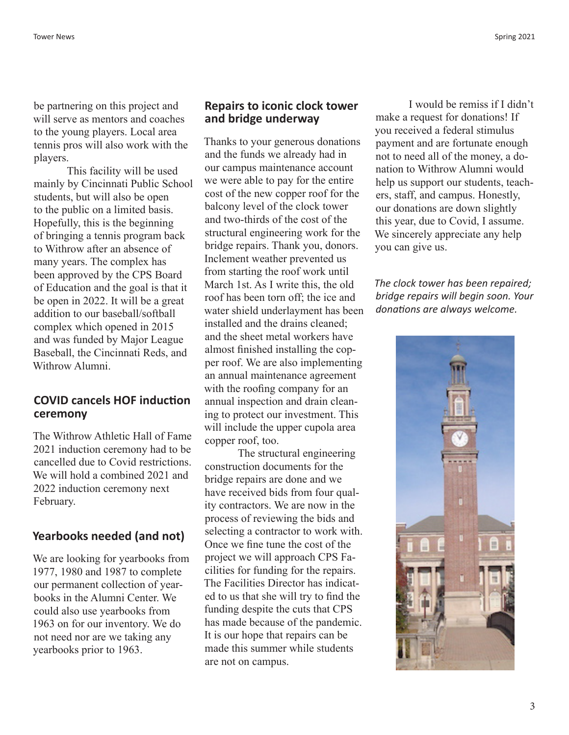be partnering on this project and will serve as mentors and coaches to the young players. Local area tennis pros will also work with the players.

This facility will be used mainly by Cincinnati Public School students, but will also be open to the public on a limited basis. Hopefully, this is the beginning of bringing a tennis program back to Withrow after an absence of many years. The complex has been approved by the CPS Board of Education and the goal is that it be open in 2022. It will be a great addition to our baseball/softball complex which opened in 2015 and was funded by Major League Baseball, the Cincinnati Reds, and Withrow Alumni.

#### **COVID cancels HOF induction ceremony**

The Withrow Athletic Hall of Fame 2021 induction ceremony had to be cancelled due to Covid restrictions. We will hold a combined 2021 and 2022 induction ceremony next February.

#### **Yearbooks needed (and not)**

We are looking for yearbooks from 1977, 1980 and 1987 to complete our permanent collection of yearbooks in the Alumni Center. We could also use yearbooks from 1963 on for our inventory. We do not need nor are we taking any yearbooks prior to 1963.

#### **Repairs to iconic clock tower and bridge underway**

Thanks to your generous donations and the funds we already had in our campus maintenance account we were able to pay for the entire cost of the new copper roof for the balcony level of the clock tower and two-thirds of the cost of the structural engineering work for the bridge repairs. Thank you, donors. Inclement weather prevented us from starting the roof work until March 1st. As I write this, the old roof has been torn off; the ice and water shield underlayment has been installed and the drains cleaned; and the sheet metal workers have almost finished installing the copper roof. We are also implementing an annual maintenance agreement with the roofing company for an annual inspection and drain cleaning to protect our investment. This will include the upper cupola area copper roof, too.

The structural engineering construction documents for the bridge repairs are done and we have received bids from four quality contractors. We are now in the process of reviewing the bids and selecting a contractor to work with. Once we fine tune the cost of the project we will approach CPS Facilities for funding for the repairs. The Facilities Director has indicated to us that she will try to find the funding despite the cuts that CPS has made because of the pandemic. It is our hope that repairs can be made this summer while students are not on campus.

I would be remiss if I didn't make a request for donations! If you received a federal stimulus payment and are fortunate enough not to need all of the money, a donation to Withrow Alumni would help us support our students, teachers, staff, and campus. Honestly, our donations are down slightly this year, due to Covid, I assume. We sincerely appreciate any help you can give us.

*The clock tower has been repaired; bridge repairs will begin soon. Your donations are always welcome.*

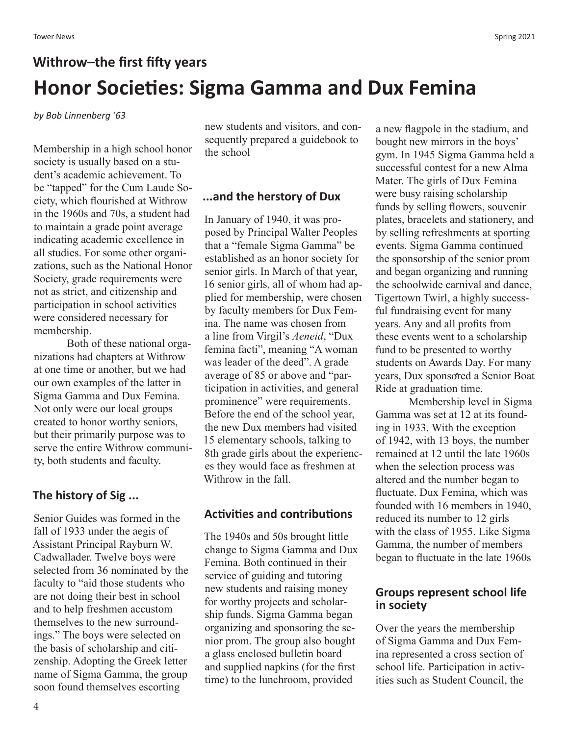# **Withrow–the first fifty years Honor Societies: Sigma Gamma and Dux Femina**

*by Bob Linnenberg '63*

Membership in a high school honor society is usually based on a student's academic achievement. To be "tapped" for the Cum Laude Society, which flourished at Withrow in the 1960s and 70s, a student had to maintain a grade point average indicating academic excellence in all studies. For some other organizations, such as the National Honor Society, grade requirements were not as strict, and citizenship and participation in school activities were considered necessary for membership.

Both of these national organizations had chapters at Withrow at one time or another, but we had our own examples of the latter in Sigma Gamma and Dux Femina. Not only were our local groups created to honor worthy seniors, but their primarily purpose was to serve the entire Withrow community, both students and faculty.

# **The history of Sig ...**

Senior Guides was formed in the fall of 1933 under the aegis of Assistant Principal Rayburn W. Cadwallader. Twelve boys were selected from 36 nominated by the faculty to "aid those students who are not doing their best in school and to help freshmen accustom themselves to the new surroundings." The boys were selected on the basis of scholarship and citizenship. Adopting the Greek letter name of Sigma Gamma, the group soon found themselves escorting

new students and visitors, and consequently prepared a guidebook to the school

#### **...and the herstory of Dux**

In January of 1940, it was proposed by Principal Walter Peoples that a "female Sigma Gamma" be established as an honor society for senior girls. In March of that year, 16 senior girls, all of whom had applied for membership, were chosen by faculty members for Dux Femina. The name was chosen from a line from Virgil's *Aeneid*, "Dux femina facti", meaning "A woman was leader of the deed". A grade average of 85 or above and "participation in activities, and general prominence" were requirements. Before the end of the school year, the new Dux members had visited 15 elementary schools, talking to 8th grade girls about the experiences they would face as freshmen at Withrow in the fall.

# **Activities and contributions**

The 1940s and 50s brought little change to Sigma Gamma and Dux Femina. Both continued in their service of guiding and tutoring new students and raising money for worthy projects and scholarship funds. Sigma Gamma began organizing and sponsoring the senior prom. The group also bought a glass enclosed bulletin board and supplied napkins (for the first time) to the lunchroom, provided

a new flagpole in the stadium, and bought new mirrors in the boys' gym. In 1945 Sigma Gamma held a successful contest for a new Alma Mater. The girls of Dux Femina were busy raising scholarship funds by selling flowers, souvenir plates, bracelets and stationery, and by selling refreshments at sporting events. Sigma Gamma continued the sponsorship of the senior prom and began organizing and running the schoolwide carnival and dance, Tigertown Twirl, a highly successful fundraising event for many years. Any and all profits from these events went to a scholarship fund to be presented to worthy students on Awards Day. For many years, Dux sponsored a Senior Boat Ride at graduation time.

Membership level in Sigma Gamma was set at 12 at its founding in 1933. With the exception of 1942, with 13 boys, the number remained at 12 until the late 1960s when the selection process was altered and the number began to fluctuate. Dux Femina, which was founded with 16 members in 1940, reduced its number to 12 girls with the class of 1955. Like Sigma Gamma, the number of members began to fluctuate in the late 1960s

## **Groups represent school life in society**

Over the years the membership of Sigma Gamma and Dux Femina represented a cross section of school life. Participation in activities such as Student Council, the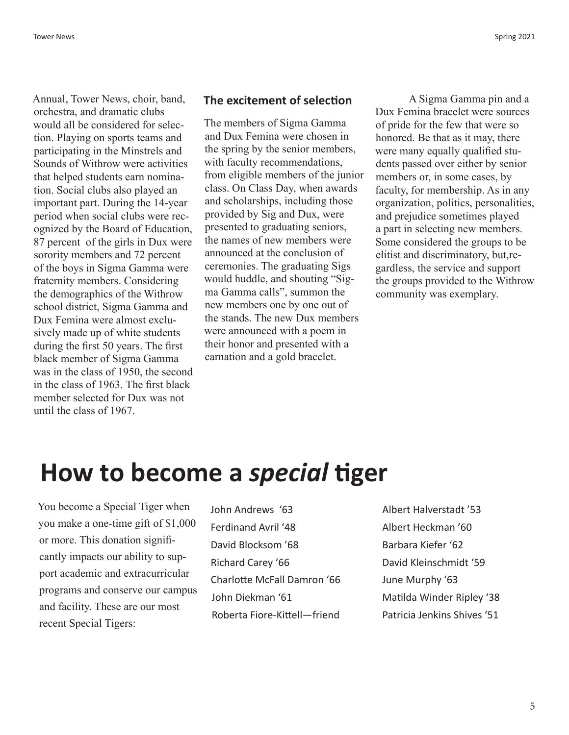Annual, Tower News, choir, band, orchestra, and dramatic clubs would all be considered for selection. Playing on sports teams and participating in the Minstrels and Sounds of Withrow were activities that helped students earn nomination. Social clubs also played an important part. During the 14-year period when social clubs were recognized by the Board of Education, 87 percent of the girls in Dux were sorority members and 72 percent of the boys in Sigma Gamma were fraternity members. Considering the demographics of the Withrow school district, Sigma Gamma and Dux Femina were almost exclusively made up of white students during the first 50 years. The first black member of Sigma Gamma was in the class of 1950, the second in the class of 1963. The first black member selected for Dux was not until the class of 1967.

#### **The excitement of selection**

The members of Sigma Gamma and Dux Femina were chosen in the spring by the senior members, with faculty recommendations, from eligible members of the junior class. On Class Day, when awards and scholarships, including those provided by Sig and Dux, were presented to graduating seniors, the names of new members were announced at the conclusion of ceremonies. The graduating Sigs would huddle, and shouting "Sigma Gamma calls", summon the new members one by one out of the stands. The new Dux members were announced with a poem in their honor and presented with a carnation and a gold bracelet.

A Sigma Gamma pin and a Dux Femina bracelet were sources of pride for the few that were so honored. Be that as it may, there were many equally qualified students passed over either by senior members or, in some cases, by faculty, for membership. As in any organization, politics, personalities, and prejudice sometimes played a part in selecting new members. Some considered the groups to be elitist and discriminatory, but,regardless, the service and support the groups provided to the Withrow community was exemplary.

# **How to become a** *special* **tiger**

You become a Special Tiger when you make a one-time gift of \$1,000 or more. This donation significantly impacts our ability to support academic and extracurricular programs and conserve our campus and facility. These are our most recent Special Tigers:

- John Andrews '63 Ferdinand Avril '48 David Blocksom '68 Richard Carey '66 Charlotte McFall Damron '66 John Diekman '61 Roberta Fiore-Kittell—friend
- Albert Halverstadt '53 Albert Heckman '60 Barbara Kiefer '62 David Kleinschmidt '59 June Murphy '63 Matilda Winder Ripley '38 Patricia Jenkins Shives '51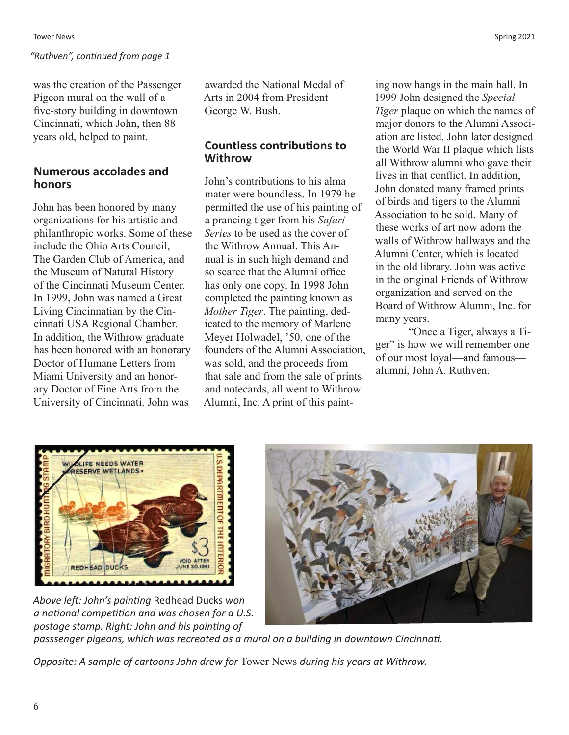was the creation of the Passenger Pigeon mural on the wall of a five-story building in downtown Cincinnati, which John, then 88 years old, helped to paint.

## **Numerous accolades and honors**

John has been honored by many organizations for his artistic and philanthropic works. Some of these include the Ohio Arts Council, The Garden Club of America, and the Museum of Natural History of the Cincinnati Museum Center. In 1999, John was named a Great Living Cincinnatian by the Cincinnati USA Regional Chamber. In addition, the Withrow graduate has been honored with an honorary Doctor of Humane Letters from Miami University and an honorary Doctor of Fine Arts from the University of Cincinnati. John was

awarded the National Medal of Arts in 2004 from President George W. Bush.

# **Countless contributions to Withrow**

John's contributions to his alma mater were boundless. In 1979 he permitted the use of his painting of a prancing tiger from his *Safari Series* to be used as the cover of the Withrow Annual. This Annual is in such high demand and so scarce that the Alumni office has only one copy. In 1998 John completed the painting known as *Mother Tiger*. The painting, dedicated to the memory of Marlene Meyer Holwadel, '50, one of the founders of the Alumni Association, was sold, and the proceeds from that sale and from the sale of prints and notecards, all went to Withrow Alumni, Inc. A print of this painting now hangs in the main hall. In 1999 John designed the *Special Tiger* plaque on which the names of major donors to the Alumni Association are listed. John later designed the World War II plaque which lists all Withrow alumni who gave their lives in that conflict. In addition, John donated many framed prints of birds and tigers to the Alumni Association to be sold. Many of these works of art now adorn the walls of Withrow hallways and the Alumni Center, which is located in the old library. John was active in the original Friends of Withrow organization and served on the Board of Withrow Alumni, Inc. for many years.

"Once a Tiger, always a Tiger" is how we will remember one of our most loyal—and famous alumni, John A. Ruthven.



*Above left: John's painting* Redhead Ducks *won a national competition and was chosen for a U.S. postage stamp. Right: John and his painting of* 

*passsenger pigeons, which was recreated as a mural on a building in downtown Cincinnati.*

*Opposite: A sample of cartoons John drew for* Tower News *during his years at Withrow.*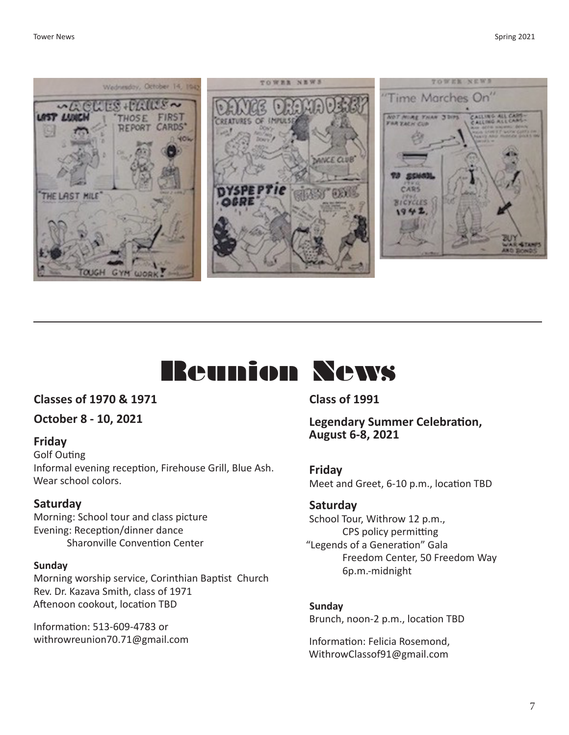



#### **Classes of 1970 & 1971**

**October 8 - 10, 2021**

#### **Friday**

Golf Outing Informal evening reception, Firehouse Grill, Blue Ash. Wear school colors.

#### **Saturday**

Morning: School tour and class picture Evening: Reception/dinner dance Sharonville Convention Center

#### **Sunday**

Morning worship service, Corinthian Baptist Church Rev. Dr. Kazava Smith, class of 1971 Aftenoon cookout, location TBD

Information: 513-609-4783 or withrowreunion70.71@gmail.com **Class of 1991**

**Legendary Summer Celebration, August 6-8, 2021**

**Friday** Meet and Greet, 6-10 p.m., location TBD

#### **Saturday**

School Tour, Withrow 12 p.m., CPS policy permitting "Legends of a Generation" Gala Freedom Center, 50 Freedom Way 6p.m.-midnight

**Sunday** Brunch, noon-2 p.m., location TBD

Information: Felicia Rosemond, WithrowClassof91@gmail.com